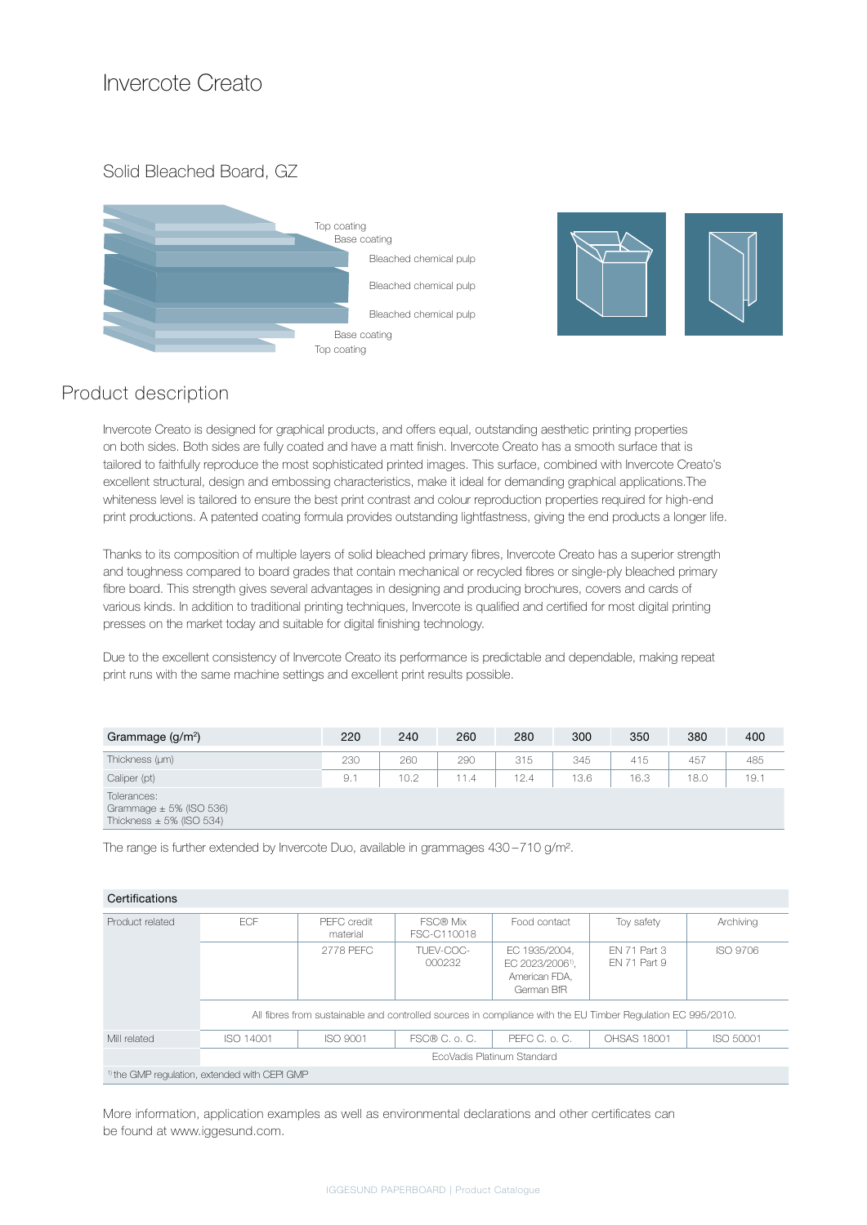## Invercote Creato

Solid Bleached Board, GZ





## Product description

Invercote Creato is designed for graphical products, and offers equal, outstanding aesthetic printing properties on both sides. Both sides are fully coated and have a matt finish. Invercote Creato has a smooth surface that is tailored to faithfully reproduce the most sophisticated printed images. This surface, combined with Invercote Creato's excellent structural, design and embossing characteristics, make it ideal for demanding graphical applications.The whiteness level is tailored to ensure the best print contrast and colour reproduction properties required for high-end print productions. A patented coating formula provides outstanding lightfastness, giving the end products a longer life.

Thanks to its composition of multiple layers of solid bleached primary fibres, Invercote Creato has a superior strength and toughness compared to board grades that contain mechanical or recycled fibres or single-ply bleached primary fibre board. This strength gives several advantages in designing and producing brochures, covers and cards of various kinds. In addition to traditional printing techniques, Invercote is qualified and certified for most digital printing presses on the market today and suitable for digital finishing technology.

Due to the excellent consistency of Invercote Creato its performance is predictable and dependable, making repeat print runs with the same machine settings and excellent print results possible.

| Grammage $(g/m2)$                                                          | 220 | 240  | 260  | 280  | 300  | 350  | 380  | 400  |
|----------------------------------------------------------------------------|-----|------|------|------|------|------|------|------|
| Thickness (um)                                                             | 230 | 260  | 290  | 315  | 345  | 415  | 457  | 485  |
| Caliper (pt)                                                               | 9.1 | 10.2 | 11.4 | 12.4 | 13.6 | 16.3 | 18.0 | 19.1 |
| Tolerances:<br>Grammage $\pm$ 5% (ISO 536)<br>Thickness $\pm$ 5% (ISO 534) |     |      |      |      |      |      |      |      |

The range is further extended by Invercote Duo, available in grammages 430 –710 g/m².

| Product related                                          | <b>FCF</b>                 | PFFC credit<br>material                                                                                     | FSC® Mix<br>FSC-C110018 | Food contact                                                                 | Toy safety                   | Archiving       |  |  |  |  |
|----------------------------------------------------------|----------------------------|-------------------------------------------------------------------------------------------------------------|-------------------------|------------------------------------------------------------------------------|------------------------------|-----------------|--|--|--|--|
|                                                          |                            | 2778 PFFC                                                                                                   | TUFV-COC-<br>000232     | EC 1935/2004.<br>EC 2023/2006 <sup>1)</sup> .<br>American FDA.<br>German BfR | FN 71 Part 3<br>FN 71 Part 9 | <b>ISO 9706</b> |  |  |  |  |
|                                                          |                            | All fibres from sustainable and controlled sources in compliance with the EU Timber Regulation EC 995/2010. |                         |                                                                              |                              |                 |  |  |  |  |
| Mill related                                             | ISO 14001                  | ISO 9001                                                                                                    | FSC® C. o. C.           | PEFC C. o. C.                                                                | OHSAS 18001                  | ISO 50001       |  |  |  |  |
|                                                          | EcoVadis Platinum Standard |                                                                                                             |                         |                                                                              |                              |                 |  |  |  |  |
| <sup>1)</sup> the GMP regulation, extended with CEPI GMP |                            |                                                                                                             |                         |                                                                              |                              |                 |  |  |  |  |

More information, application examples as well as environmental declarations and other certificates can be found at www.iggesund.com.